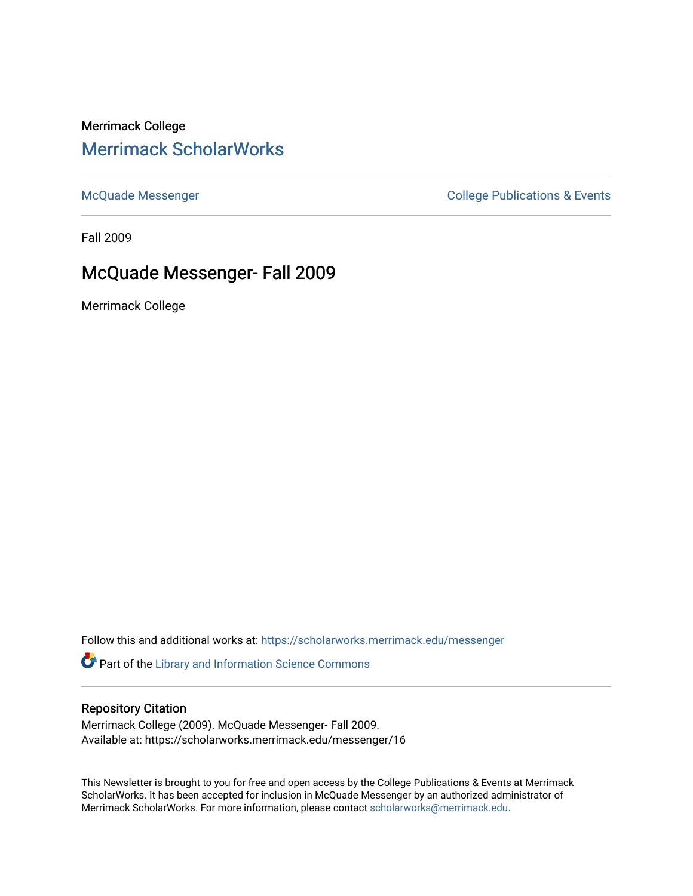## Merrimack College [Merrimack ScholarWorks](https://scholarworks.merrimack.edu/)

[McQuade Messenger](https://scholarworks.merrimack.edu/messenger) College Publications & Events

Fall 2009

# McQuade Messenger- Fall 2009

Merrimack College

Follow this and additional works at: [https://scholarworks.merrimack.edu/messenger](https://scholarworks.merrimack.edu/messenger?utm_source=scholarworks.merrimack.edu%2Fmessenger%2F16&utm_medium=PDF&utm_campaign=PDFCoverPages) 

Part of the [Library and Information Science Commons](http://network.bepress.com/hgg/discipline/1018?utm_source=scholarworks.merrimack.edu%2Fmessenger%2F16&utm_medium=PDF&utm_campaign=PDFCoverPages) 

### Repository Citation

Merrimack College (2009). McQuade Messenger- Fall 2009. Available at: https://scholarworks.merrimack.edu/messenger/16

This Newsletter is brought to you for free and open access by the College Publications & Events at Merrimack ScholarWorks. It has been accepted for inclusion in McQuade Messenger by an authorized administrator of Merrimack ScholarWorks. For more information, please contact [scholarworks@merrimack.edu](mailto:scholarworks@merrimack.edu).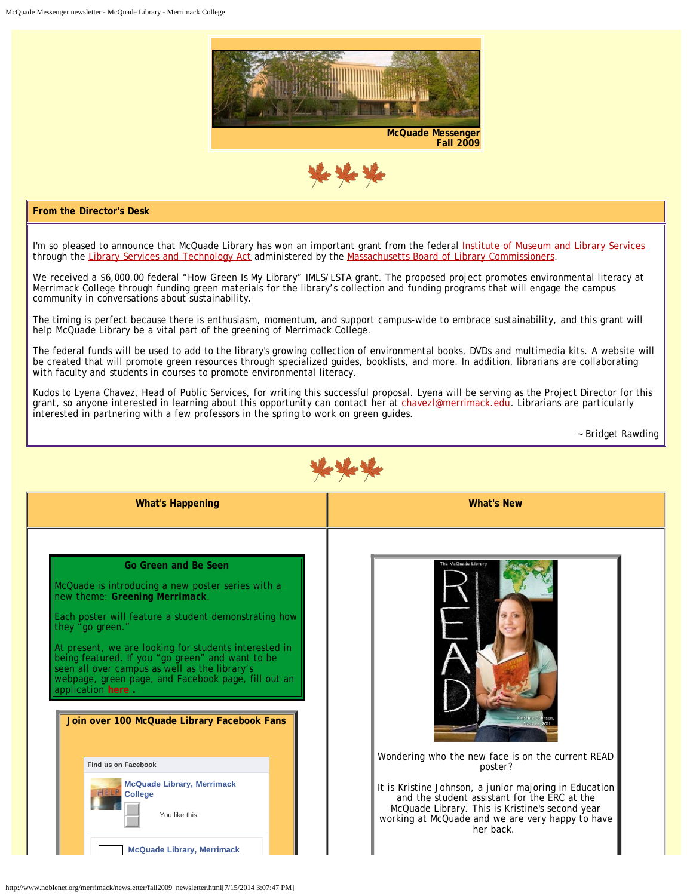



#### **From the Director's Desk**

I'm so pleased to announce that McQuade Library has won an important grant from the federal [Institute of Museum and Library Services](http://www.imls.gov/) through the [Library Services and Technology Act](http://mblc.state.ma.us/grants/lsta/index.php) administered by the [Massachusetts Board of Library Commissioners](http://mblc.state.ma.us/).

We received a \$6,000.00 federal "How Green Is My Library" IMLS/LSTA grant. The proposed project promotes environmental literacy at Merrimack College through funding green materials for the library's collection and funding programs that will engage the campus community in conversations about sustainability.

The timing is perfect because there is enthusiasm, momentum, and support campus-wide to embrace sustainability, and this grant will help McQuade Library be a vital part of the greening of Merrimack College.

The federal funds will be used to add to the library's growing collection of environmental books, DVDs and multimedia kits. A website will be created that will promote green resources through specialized guides, booklists, and more. In addition, librarians are collaborating with faculty and students in courses to promote environmental literacy.

Kudos to Lyena Chavez, Head of Public Services, for writing this successful proposal. Lyena will be serving as the Project Director for this grant, so anyone interested in learning about this opportunity can contact her at [chavezl@merrimack.edu](mailto:%20lyena.chavez@merrimack.edu). Librarians are particularly interested in partnering with a few professors in the spring to work on green guides.

*~ Bridget Rawding*

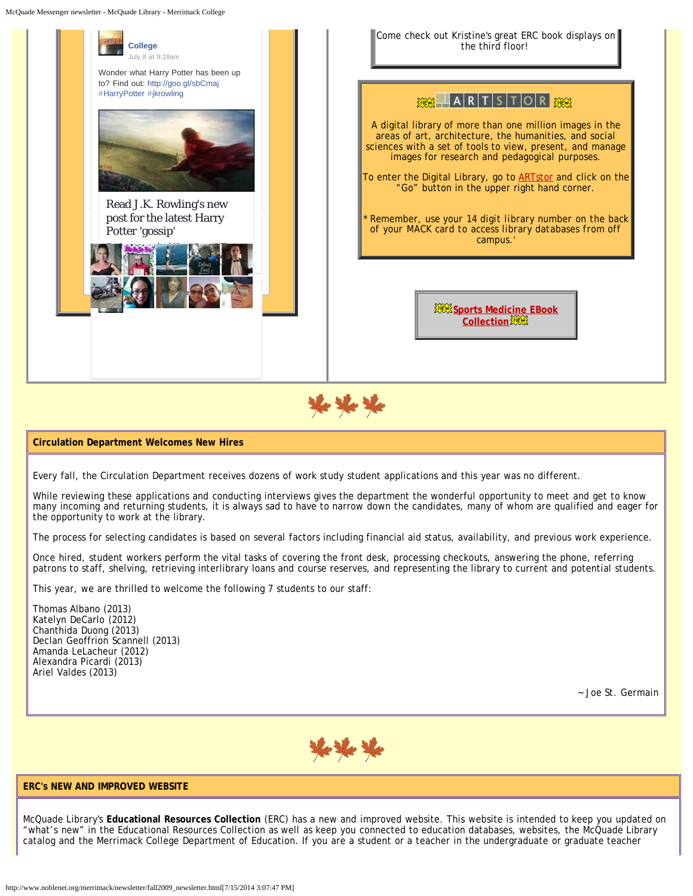McQuade Messenger newsletter - McQuade Library - Merrimack College



#### **Circulation Department Welcomes New Hires**

Every fall, the Circulation Department receives dozens of work study student applications and this year was no different.

While reviewing these applications and conducting interviews gives the department the wonderful opportunity to meet and get to know many incoming and returning students, it is always sad to have to narrow down the candidates, many of whom are qualified and eager for the opportunity to work at the library.

The process for selecting candidates is based on several factors including financial aid status, availability, and previous work experience.

Once hired, student workers perform the vital tasks of covering the front desk, processing checkouts, answering the phone, referring patrons to staff, shelving, retrieving interlibrary loans and course reserves, and representing the library to current and potential students.

This year, we are thrilled to welcome the following 7 students to our staff:

Thomas Albano (2013) Katelyn DeCarlo (2012) Chanthida Duong (2013) Declan Geoffrion Scannell (2013) Amanda LeLacheur (2012) Alexandra Picardi (2013) Ariel Valdes (2013)

*~ Joe St. Germain*



### **ERC's NEW AND IMPROVED WEBSITE**

McQuade Library's **Educational Resources Collection** (ERC) has a new and improved website. This website is intended to keep you updated on "what's new" in the Educational Resources Collection as well as keep you connected to education databases, websites, the McQuade Library catalog and the Merrimack College Department of Education. If you are a student or a teacher in the undergraduate or graduate teacher